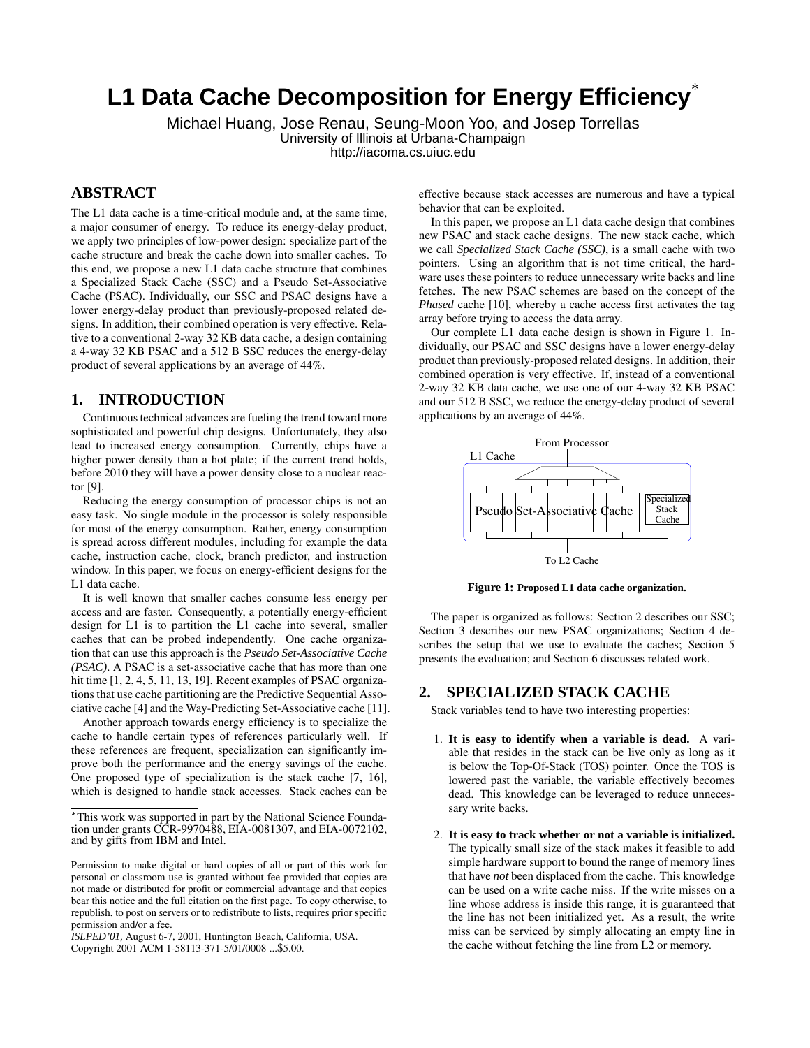# **L1 Data Cache Decomposition for Energy Efficiency**

Michael Huang, Jose Renau, Seung-Moon Yoo, and Josep Torrellas University of Illinois at Urbana-Champaign

http://iacoma.cs.uiuc.edu

# **ABSTRACT**

The L1 data cache is a time-critical module and, at the same time, a major consumer of energy. To reduce its energy-delay product, we apply two principles of low-power design: specialize part of the cache structure and break the cache down into smaller caches. To this end, we propose a new L1 data cache structure that combines a Specialized Stack Cache (SSC) and a Pseudo Set-Associative Cache (PSAC). Individually, our SSC and PSAC designs have a lower energy-delay product than previously-proposed related designs. In addition, their combined operation is very effective. Relative to a conventional 2-way 32 KB data cache, a design containing a 4-way 32 KB PSAC and a 512 B SSC reduces the energy-delay product of several applications by an average of 44%.

# **1. INTRODUCTION**

Continuous technical advances are fueling the trend toward more sophisticated and powerful chip designs. Unfortunately, they also lead to increased energy consumption. Currently, chips have a higher power density than a hot plate; if the current trend holds, before 2010 they will have a power density close to a nuclear reactor [9].

Reducing the energy consumption of processor chips is not an easy task. No single module in the processor is solely responsible for most of the energy consumption. Rather, energy consumption is spread across different modules, including for example the data cache, instruction cache, clock, branch predictor, and instruction window. In this paper, we focus on energy-efficient designs for the L1 data cache.

It is well known that smaller caches consume less energy per access and are faster. Consequently, a potentially energy-efficient design for L1 is to partition the L1 cache into several, smaller caches that can be probed independently. One cache organization that can use this approach is the *Pseudo Set-Associative Cache (PSAC)*. A PSAC is a set-associative cache that has more than one hit time [1, 2, 4, 5, 11, 13, 19]. Recent examples of PSAC organizations that use cache partitioning are the Predictive Sequential Associative cache [4] and the Way-Predicting Set-Associative cache [11].

Another approach towards energy efficiency is to specialize the cache to handle certain types of references particularly well. If these references are frequent, specialization can significantly improve both the performance and the energy savings of the cache. One proposed type of specialization is the stack cache [7, 16], which is designed to handle stack accesses. Stack caches can be effective because stack accesses are numerous and have a typical behavior that can be exploited.

the contract of the contract of the contract of the contract of the contract of the contract of the contract of

In this paper, we propose an L1 data cache design that combines new PSAC and stack cache designs. The new stack cache, which we call *Specialized Stack Cache (SSC)*, is a small cache with two pointers. Using an algorithm that is not time critical, the hardware uses these pointers to reduce unnecessary write backs and line fetches. The new PSAC schemes are based on the concept of the *Phased* cache [10], whereby a cache access first activates the tag array before trying to access the data array.

Our complete L1 data cache design is shown in Figure 1. Individually, our PSAC and SSC designs have a lower energy-delay product than previously-proposed related designs. In addition, their combined operation is very effective. If, instead of a conventional 2-way 32 KB data cache, we use one of our 4-way 32 KB PSAC and our 512 B SSC, we reduce the energy-delay product of several applications by an average of 44%.



**Figure 1: Proposed L1 data cache organization.**

The paper is organized as follows: Section 2 describes our SSC; Section 3 describes our new PSAC organizations; Section 4 describes the setup that we use to evaluate the caches; Section 5 presents the evaluation; and Section 6 discusses related work.

# **2. SPECIALIZED STACK CACHE**

Stack variables tend to have two interesting properties:

- 1. **It is easy to identify when a variable is dead.** A variable that resides in the stack can be live only as long as it is below the Top-Of-Stack (TOS) pointer. Once the TOS is lowered past the variable, the variable effectively becomes dead. This knowledge can be leveraged to reduce unnecessary write backs.
- 2. **It is easy to track whether or not a variable is initialized.** The typically small size of the stack makes it feasible to add simple hardware support to bound the range of memory lines that have *not* been displaced from the cache. This knowledge can be used on a write cache miss. If the write misses on a line whose address is inside this range, it is guaranteed that the line has not been initialized yet. As a result, the write miss can be serviced by simply allocating an empty line in the cache without fetching the line from L2 or memory.

This work was supported in part by the National Science Foundation under grants CCR-9970488, EIA-0081307, and EIA-0072102, and by gifts from IBM and Intel.

Permission to make digital or hard copies of all or part of this work for personal or classroom use is granted without fee provided that copies are not made or distributed for profit or commercial advantage and that copies bear this notice and the full citation on the first page. To copy otherwise, to republish, to post on servers or to redistribute to lists, requires prior specific permission and/or a fee.

*ISLPED'01,* August 6-7, 2001, Huntington Beach, California, USA. Copyright 2001 ACM 1-58113-371-5/01/0008 ...\$5.00.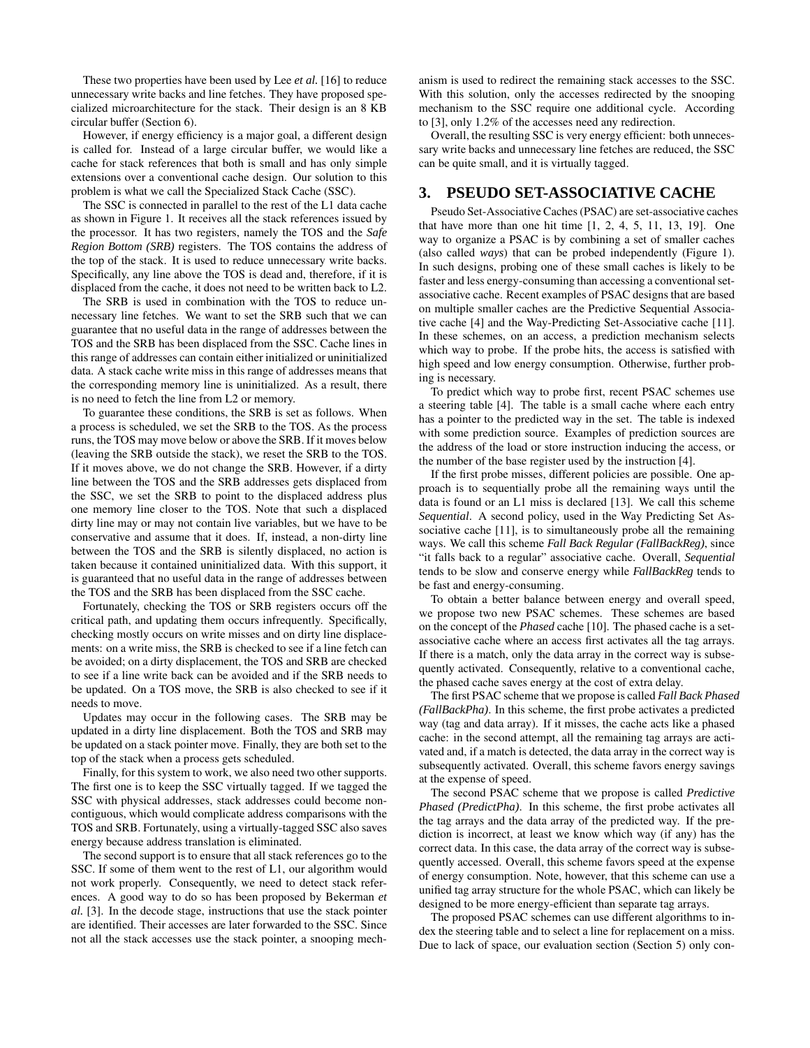These two properties have been used by Lee *et al.* [16] to reduce unnecessary write backs and line fetches. They have proposed specialized microarchitecture for the stack. Their design is an 8 KB circular buffer (Section 6).

However, if energy efficiency is a major goal, a different design is called for. Instead of a large circular buffer, we would like a cache for stack references that both is small and has only simple extensions over a conventional cache design. Our solution to this problem is what we call the Specialized Stack Cache (SSC).

The SSC is connected in parallel to the rest of the L1 data cache as shown in Figure 1. It receives all the stack references issued by the processor. It has two registers, namely the TOS and the *Safe Region Bottom (SRB)* registers. The TOS contains the address of the top of the stack. It is used to reduce unnecessary write backs. Specifically, any line above the TOS is dead and, therefore, if it is displaced from the cache, it does not need to be written back to L2.

The SRB is used in combination with the TOS to reduce unnecessary line fetches. We want to set the SRB such that we can guarantee that no useful data in the range of addresses between the TOS and the SRB has been displaced from the SSC. Cache lines in this range of addresses can contain either initialized or uninitialized data. A stack cache write miss in this range of addresses means that the corresponding memory line is uninitialized. As a result, there is no need to fetch the line from L2 or memory.

To guarantee these conditions, the SRB is set as follows. When a process is scheduled, we set the SRB to the TOS. As the process runs, the TOS may move below or above the SRB. If it moves below (leaving the SRB outside the stack), we reset the SRB to the TOS. If it moves above, we do not change the SRB. However, if a dirty line between the TOS and the SRB addresses gets displaced from the SSC, we set the SRB to point to the displaced address plus one memory line closer to the TOS. Note that such a displaced dirty line may or may not contain live variables, but we have to be conservative and assume that it does. If, instead, a non-dirty line between the TOS and the SRB is silently displaced, no action is taken because it contained uninitialized data. With this support, it is guaranteed that no useful data in the range of addresses between the TOS and the SRB has been displaced from the SSC cache.

Fortunately, checking the TOS or SRB registers occurs off the critical path, and updating them occurs infrequently. Specifically, checking mostly occurs on write misses and on dirty line displacements: on a write miss, the SRB is checked to see if a line fetch can be avoided; on a dirty displacement, the TOS and SRB are checked to see if a line write back can be avoided and if the SRB needs to be updated. On a TOS move, the SRB is also checked to see if it needs to move.

Updates may occur in the following cases. The SRB may be updated in a dirty line displacement. Both the TOS and SRB may be updated on a stack pointer move. Finally, they are both set to the top of the stack when a process gets scheduled.

Finally, for this system to work, we also need two other supports. The first one is to keep the SSC virtually tagged. If we tagged the SSC with physical addresses, stack addresses could become noncontiguous, which would complicate address comparisons with the TOS and SRB. Fortunately, using a virtually-tagged SSC also saves energy because address translation is eliminated.

The second support is to ensure that all stack references go to the SSC. If some of them went to the rest of L1, our algorithm would not work properly. Consequently, we need to detect stack references. A good way to do so has been proposed by Bekerman *et al.* [3]. In the decode stage, instructions that use the stack pointer are identified. Their accesses are later forwarded to the SSC. Since not all the stack accesses use the stack pointer, a snooping mechanism is used to redirect the remaining stack accesses to the SSC. With this solution, only the accesses redirected by the snooping mechanism to the SSC require one additional cycle. According to [3], only 1.2% of the accesses need any redirection.

Overall, the resulting SSC is very energy efficient: both unnecessary write backs and unnecessary line fetches are reduced, the SSC can be quite small, and it is virtually tagged.

#### **3. PSEUDO SET-ASSOCIATIVE CACHE**

Pseudo Set-Associative Caches (PSAC) are set-associative caches that have more than one hit time [1, 2, 4, 5, 11, 13, 19]. One way to organize a PSAC is by combining a set of smaller caches (also called *ways*) that can be probed independently (Figure 1). In such designs, probing one of these small caches is likely to be faster and less energy-consuming than accessing a conventional setassociative cache. Recent examples of PSAC designs that are based on multiple smaller caches are the Predictive Sequential Associative cache [4] and the Way-Predicting Set-Associative cache [11]. In these schemes, on an access, a prediction mechanism selects which way to probe. If the probe hits, the access is satisfied with high speed and low energy consumption. Otherwise, further probing is necessary.

To predict which way to probe first, recent PSAC schemes use a steering table [4]. The table is a small cache where each entry has a pointer to the predicted way in the set. The table is indexed with some prediction source. Examples of prediction sources are the address of the load or store instruction inducing the access, or the number of the base register used by the instruction [4].

If the first probe misses, different policies are possible. One approach is to sequentially probe all the remaining ways until the data is found or an L1 miss is declared [13]. We call this scheme *Sequential*. A second policy, used in the Way Predicting Set Associative cache [11], is to simultaneously probe all the remaining ways. We call this scheme *Fall Back Regular (FallBackReg)*, since "it falls back to a regular" associative cache. Overall, *Sequential* tends to be slow and conserve energy while *FallBackReg* tends to be fast and energy-consuming.

To obtain a better balance between energy and overall speed, we propose two new PSAC schemes. These schemes are based on the concept of the *Phased* cache [10]. The phased cache is a setassociative cache where an access first activates all the tag arrays. If there is a match, only the data array in the correct way is subsequently activated. Consequently, relative to a conventional cache, the phased cache saves energy at the cost of extra delay.

The first PSAC scheme that we propose is called *Fall Back Phased (FallBackPha)*. In this scheme, the first probe activates a predicted way (tag and data array). If it misses, the cache acts like a phased cache: in the second attempt, all the remaining tag arrays are activated and, if a match is detected, the data array in the correct way is subsequently activated. Overall, this scheme favors energy savings at the expense of speed.

The second PSAC scheme that we propose is called *Predictive Phased (PredictPha)*. In this scheme, the first probe activates all the tag arrays and the data array of the predicted way. If the prediction is incorrect, at least we know which way (if any) has the correct data. In this case, the data array of the correct way is subsequently accessed. Overall, this scheme favors speed at the expense of energy consumption. Note, however, that this scheme can use a unified tag array structure for the whole PSAC, which can likely be designed to be more energy-efficient than separate tag arrays.

The proposed PSAC schemes can use different algorithms to index the steering table and to select a line for replacement on a miss. Due to lack of space, our evaluation section (Section 5) only con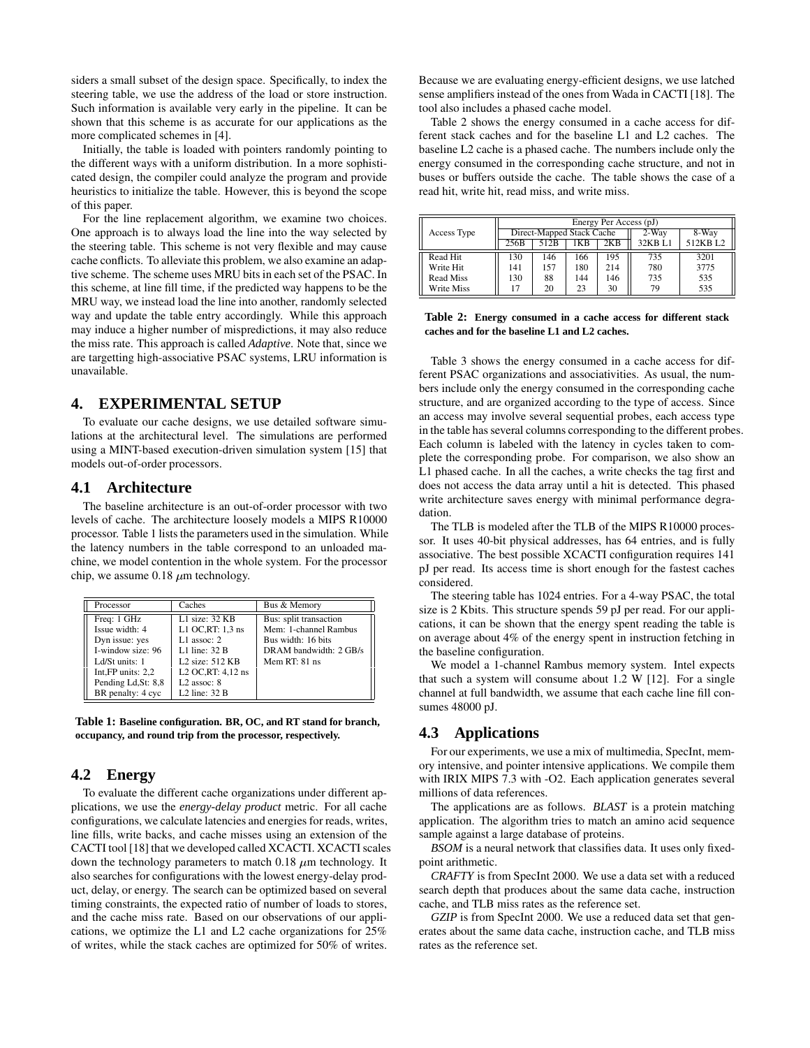siders a small subset of the design space. Specifically, to index the steering table, we use the address of the load or store instruction. Such information is available very early in the pipeline. It can be shown that this scheme is as accurate for our applications as the more complicated schemes in [4].

Initially, the table is loaded with pointers randomly pointing to the different ways with a uniform distribution. In a more sophisticated design, the compiler could analyze the program and provide heuristics to initialize the table. However, this is beyond the scope of this paper.

For the line replacement algorithm, we examine two choices. One approach is to always load the line into the way selected by the steering table. This scheme is not very flexible and may cause cache conflicts. To alleviate this problem, we also examine an adaptive scheme. The scheme uses MRU bits in each set of the PSAC. In this scheme, at line fill time, if the predicted way happens to be the MRU way, we instead load the line into another, randomly selected way and update the table entry accordingly. While this approach may induce a higher number of mispredictions, it may also reduce the miss rate. This approach is called *Adaptive*. Note that, since we are targetting high-associative PSAC systems, LRU information is unavailable.

# **4. EXPERIMENTAL SETUP**

To evaluate our cache designs, we use detailed software simulations at the architectural level. The simulations are performed using a MINT-based execution-driven simulation system [15] that models out-of-order processors.

#### **4.1 Architecture**

The baseline architecture is an out-of-order processor with two levels of cache. The architecture loosely models a MIPS R10000 processor. Table 1 lists the parameters used in the simulation. While the latency numbers in the table correspond to an unloaded machine, we model contention in the whole system. For the processor chip, we assume 0.18  $\mu$ m technology.

| Processor                                                                                                        | Caches                                                                                                                              | Bus & Memory                                                                                                       |
|------------------------------------------------------------------------------------------------------------------|-------------------------------------------------------------------------------------------------------------------------------------|--------------------------------------------------------------------------------------------------------------------|
| Freq: 1 GHz<br>Issue width: 4<br>Dyn issue: yes<br>I-window size: 96<br>Ld/St units: 1<br>Int, $FP$ units: $2.2$ | L1 size: $32$ KB<br>L1 OC, RT: $1,3$ ns<br>$L1$ assoc: 2<br>L1 line: $32B$<br>L2 size: $512$ KB<br>L <sub>2</sub> OC, RT: $4,12$ ns | Bus: split transaction<br>Mem: 1-channel Rambus<br>Bus width: 16 bits<br>DRAM bandwidth: 2 GB/s<br>Mem $RT: 81$ ns |
| Pending Ld, St: 8,8<br>BR penalty: 4 cyc                                                                         | $L2$ assoc: $8$<br>$L2$ line: $32B$                                                                                                 |                                                                                                                    |

**Table 1: Baseline configuration. BR, OC, and RT stand for branch, occupancy, and round trip from the processor, respectively.**

#### **4.2 Energy**

To evaluate the different cache organizations under different applications, we use the *energy-delay product* metric. For all cache configurations, we calculate latencies and energies for reads, writes, line fills, write backs, and cache misses using an extension of the CACTI tool [18] that we developed called XCACTI. XCACTI scales down the technology parameters to match 0.18  $\mu$ m technology. It also searches for configurations with the lowest energy-delay product, delay, or energy. The search can be optimized based on several timing constraints, the expected ratio of number of loads to stores, and the cache miss rate. Based on our observations of our applications, we optimize the L1 and L2 cache organizations for 25% of writes, while the stack caches are optimized for 50% of writes.

Because we are evaluating energy-efficient designs, we use latched sense amplifiers instead of the ones from Wada in CACTI [18]. The tool also includes a phased cache model.

Table 2 shows the energy consumed in a cache access for different stack caches and for the baseline L1 and L2 caches. The baseline L2 cache is a phased cache. The numbers include only the energy consumed in the corresponding cache structure, and not in buses or buffers outside the cache. The table shows the case of a read hit, write hit, read miss, and write miss.

|                  | Energy Per Access (pJ) |                           |       |         |         |          |  |  |  |  |  |  |  |
|------------------|------------------------|---------------------------|-------|---------|---------|----------|--|--|--|--|--|--|--|
| Access Type      |                        | Direct-Mapped Stack Cache |       | $2-Wav$ | 8-Way   |          |  |  |  |  |  |  |  |
|                  | 256В                   | 512B                      | 1 K B | 2KB     | 32KB L1 | 512KB L2 |  |  |  |  |  |  |  |
| Read Hit         | 130                    | 146                       | 166   | 195     | 735     | 3201     |  |  |  |  |  |  |  |
| Write Hit        | 141                    | 157                       | 180   | 214     | 780     | 3775     |  |  |  |  |  |  |  |
| <b>Read Miss</b> | 130                    | 88                        | 144   | 146     | 735     | 535      |  |  |  |  |  |  |  |
| Write Miss       |                        | 20                        | 23    | 30      | 79      | 535      |  |  |  |  |  |  |  |

**Table 2: Energy consumed in a cache access for different stack caches and for the baseline L1 and L2 caches.**

Table 3 shows the energy consumed in a cache access for different PSAC organizations and associativities. As usual, the numbers include only the energy consumed in the corresponding cache structure, and are organized according to the type of access. Since an access may involve several sequential probes, each access type in the table has several columns corresponding to the different probes. Each column is labeled with the latency in cycles taken to complete the corresponding probe. For comparison, we also show an L1 phased cache. In all the caches, a write checks the tag first and does not access the data array until a hit is detected. This phased write architecture saves energy with minimal performance degradation.

The TLB is modeled after the TLB of the MIPS R10000 processor. It uses 40-bit physical addresses, has 64 entries, and is fully associative. The best possible XCACTI configuration requires 141 pJ per read. Its access time is short enough for the fastest caches considered.

The steering table has 1024 entries. For a 4-way PSAC, the total size is 2 Kbits. This structure spends 59 pJ per read. For our applications, it can be shown that the energy spent reading the table is on average about 4% of the energy spent in instruction fetching in the baseline configuration.

We model a 1-channel Rambus memory system. Intel expects that such a system will consume about 1.2 W [12]. For a single channel at full bandwidth, we assume that each cache line fill consumes 48000 pJ.

#### **4.3 Applications**

For our experiments, we use a mix of multimedia, SpecInt, memory intensive, and pointer intensive applications. We compile them with IRIX MIPS 7.3 with -O2. Each application generates several millions of data references.

The applications are as follows. *BLAST* is a protein matching application. The algorithm tries to match an amino acid sequence sample against a large database of proteins.

*BSOM* is a neural network that classifies data. It uses only fixedpoint arithmetic.

*CRAFTY* is from SpecInt 2000. We use a data set with a reduced search depth that produces about the same data cache, instruction cache, and TLB miss rates as the reference set.

*GZIP* is from SpecInt 2000. We use a reduced data set that generates about the same data cache, instruction cache, and TLB miss rates as the reference set.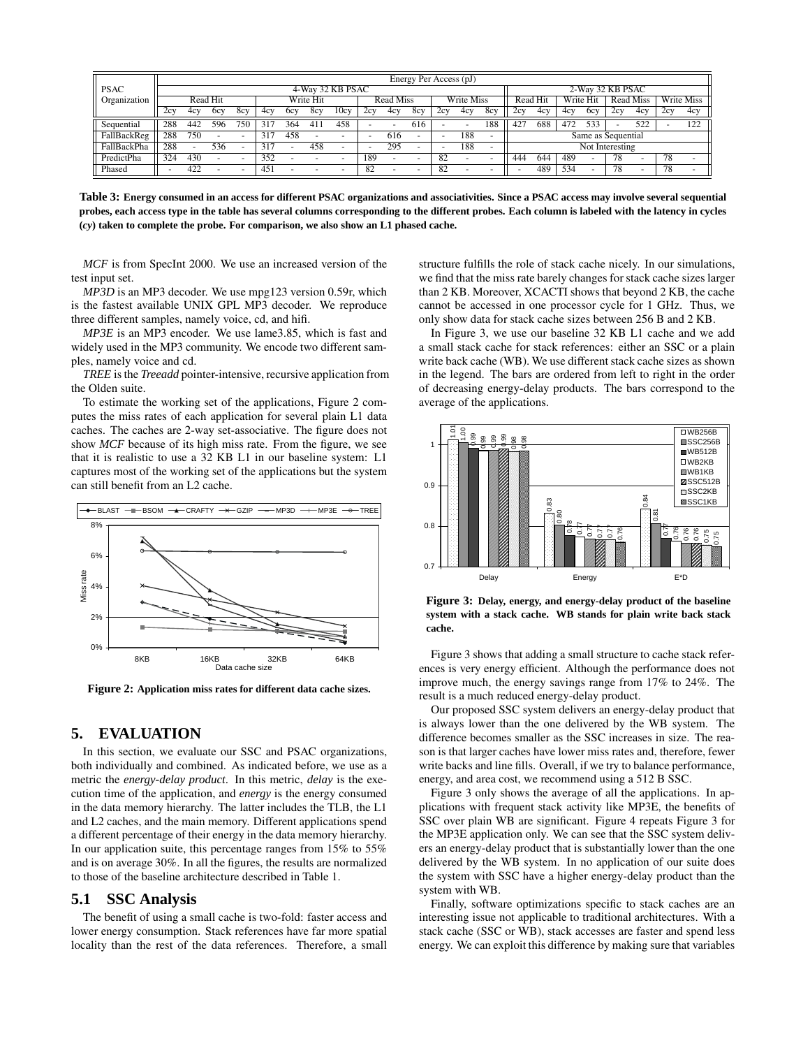| <b>PSAC</b><br>Organization |                  | Energy Per Access (pJ) |                          |                          |           |     |     |                  |     |                          |                   |     |          |     |                    |                  |                  |     |                   |     |     |                  |  |
|-----------------------------|------------------|------------------------|--------------------------|--------------------------|-----------|-----|-----|------------------|-----|--------------------------|-------------------|-----|----------|-----|--------------------|------------------|------------------|-----|-------------------|-----|-----|------------------|--|
|                             | 4-Way 32 KB PSAC |                        |                          |                          |           |     |     |                  |     |                          |                   |     |          |     |                    | 2-Way 32 KB PSAC |                  |     |                   |     |     |                  |  |
|                             | Read Hit         |                        |                          |                          | Write Hit |     |     | <b>Read Miss</b> |     |                          | <b>Write Miss</b> |     | Read Hit |     | Write Hit          |                  | <b>Read Miss</b> |     | <b>Write Miss</b> |     |     |                  |  |
|                             | 2cv              | $4c$ <sup>v</sup>      | 6cy                      | 8cv                      | 4cv       | 6cv | 8cv | 10cv             | 2cy | 4cv                      | 8cv               | 2cy | 4cv      | 8cv | 2cy                | 4cv              | 4cv              | 6cy | 2cy               | 4cv | 2cy | 4cy              |  |
| Sequential                  | 288              | 442                    | 596                      | 750                      | 317       | 364 | 41  | 458              |     | $\overline{\phantom{a}}$ | 616               |     |          | 188 | 427                | 688              | 472              | 533 |                   | 522 |     | $\overline{122}$ |  |
| FallBackReg                 | 288              | 750                    | $\overline{\phantom{a}}$ | $\overline{\phantom{a}}$ | 317       | 458 |     |                  |     | 616                      | ۰                 | -   | 188      | -   | Same as Sequential |                  |                  |     |                   |     |     |                  |  |
| FallBackPha                 | 288              | ٠                      | 536                      | $\overline{\phantom{a}}$ | 317       |     | 458 |                  |     | 295                      |                   |     | 188      |     | Not Interesting    |                  |                  |     |                   |     |     |                  |  |
| PredictPha                  | 324              | 430                    |                          | $\overline{\phantom{a}}$ | 352       |     |     |                  | 189 |                          |                   | 82  |          |     | 444                | 644              | 489              |     | 78                |     | 78  |                  |  |
| Phased                      |                  | 422                    |                          |                          | 451       |     |     |                  | 82  |                          |                   | 82  |          |     |                    | 489              | 534              |     | 78                |     | 78  |                  |  |

Table 3: Energy consumed in an access for different PSAC organizations and associativities. Since a PSAC access may involve several sequential probes, each access type in the table has several columns corresponding to the different probes. Each column is labeled with the latency in cycles **(***cy***) taken to complete the probe. For comparison, we also show an L1 phased cache.**

*MCF* is from SpecInt 2000. We use an increased version of the test input set.

*MP3D* is an MP3 decoder. We use mpg123 version 0.59r, which is the fastest available UNIX GPL MP3 decoder. We reproduce three different samples, namely voice, cd, and hifi.

*MP3E* is an MP3 encoder. We use lame3.85, which is fast and widely used in the MP3 community. We encode two different samples, namely voice and cd.

*TREE* isthe *Treeadd* pointer-intensive, recursive application from the Olden suite.

To estimate the working set of the applications, Figure 2 computes the miss rates of each application for several plain L1 data caches. The caches are 2-way set-associative. The figure does not show *MCF* because of its high miss rate. From the figure, we see that it is realistic to use a 32 KB L1 in our baseline system: L1 captures most of the working set of the applications but the system can still benefit from an L2 cache.



**Figure 2: Application miss rates for different data cache sizes.**

## **5. EVALUATION**

In this section, we evaluate our SSC and PSAC organizations, both individually and combined. As indicated before, we use as a metric the *energy-delay product*. In this metric, *delay* is the execution time of the application, and *energy* is the energy consumed in the data memory hierarchy. The latter includes the TLB, the L1 and L2 caches, and the main memory. Different applications spend a different percentage of their energy in the data memory hierarchy. In our application suite, this percentage ranges from 15% to 55% and is on average 30%. In all the figures, the results are normalized to those of the baseline architecture described in Table 1.

## **5.1 SSC Analysis**

The benefit of using a small cache is two-fold: faster access and lower energy consumption. Stack references have far more spatial locality than the rest of the data references. Therefore, a small structure fulfills the role of stack cache nicely. In our simulations, we find that the miss rate barely changes for stack cache sizes larger than 2 KB. Moreover, XCACTI shows that beyond 2 KB, the cache cannot be accessed in one processor cycle for 1 GHz. Thus, we only show data for stack cache sizes between 256 B and 2 KB.

In Figure 3, we use our baseline 32 KB L1 cache and we add a small stack cache for stack references: either an SSC or a plain write back cache (WB). We use different stack cache sizes as shown in the legend. The bars are ordered from left to right in the order of decreasing energy-delay products. The bars correspond to the average of the applications.



**Figure 3: Delay, energy, and energy-delay product of the baseline system with a stack cache. WB stands for plain write back stack cache.**

Figure 3 shows that adding a small structure to cache stack references is very energy efficient. Although the performance does not improve much, the energy savings range from 17% to 24%. The result is a much reduced energy-delay product.

Our proposed SSC system delivers an energy-delay product that is always lower than the one delivered by the WB system. The difference becomes smaller as the SSC increases in size. The reason is that larger caches have lower miss rates and, therefore, fewer write backs and line fills. Overall, if we try to balance performance, energy, and area cost, we recommend using a 512 B SSC.

Figure 3 only shows the average of all the applications. In applications with frequent stack activity like MP3E, the benefits of SSC over plain WB are significant. Figure 4 repeats Figure 3 for the MP3E application only. We can see that the SSC system delivers an energy-delay product that is substantially lower than the one delivered by the WB system. In no application of our suite does the system with SSC have a higher energy-delay product than the system with WB.

Finally, software optimizations specific to stack caches are an interesting issue not applicable to traditional architectures. With a stack cache (SSC or WB), stack accesses are faster and spend less energy. We can exploit this difference by making sure that variables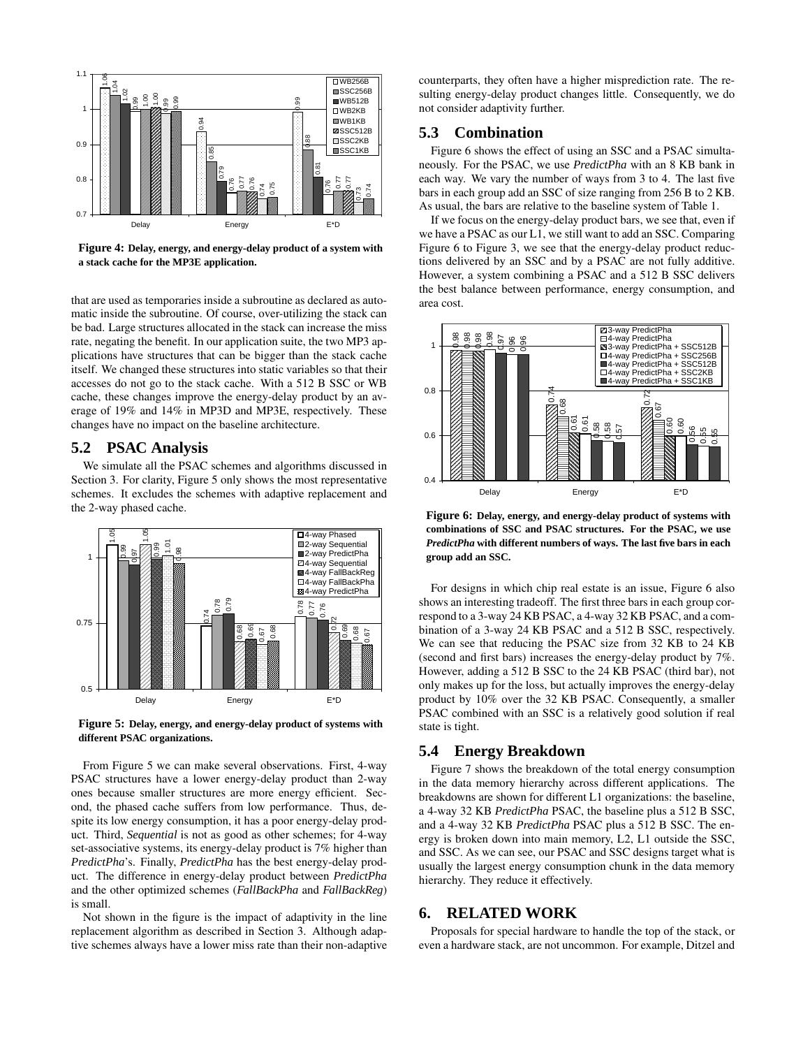

**Figure 4: Delay, energy, and energy-delay product of a system with a stack cache for the MP3E application.**

that are used as temporaries inside a subroutine as declared as automatic inside the subroutine. Of course, over-utilizing the stack can be bad. Large structures allocated in the stack can increase the miss rate, negating the benefit. In our application suite, the two MP3 applications have structures that can be bigger than the stack cache itself. We changed these structures into static variables so that their accesses do not go to the stack cache. With a 512 B SSC or WB cache, these changes improve the energy-delay product by an average of 19% and 14% in MP3D and MP3E, respectively. These changes have no impact on the baseline architecture.

#### **5.2 PSAC Analysis**

We simulate all the PSAC schemes and algorithms discussed in Section 3. For clarity, Figure 5 only shows the most representative schemes. It excludes the schemes with adaptive replacement and the 2-way phased cache.



**Figure 5: Delay, energy, and energy-delay product of systems with different PSAC organizations.**

From Figure 5 we can make several observations. First, 4-way PSAC structures have a lower energy-delay product than 2-way ones because smaller structures are more energy efficient. Second, the phased cache suffers from low performance. Thus, despite its low energy consumption, it has a poor energy-delay product. Third, *Sequential* is not as good as other schemes; for 4-way set-associative systems, its energy-delay product is 7% higher than *PredictPha*'s. Finally, *PredictPha* has the best energy-delay product. The difference in energy-delay product between *PredictPha* and the other optimized schemes (*FallBackPha* and *FallBackReg*) is small.

Not shown in the figure is the impact of adaptivity in the line replacement algorithm as described in Section 3. Although adaptive schemes always have a lower miss rate than their non-adaptive

counterparts, they often have a higher misprediction rate. The resulting energy-delay product changes little. Consequently, we do not consider adaptivity further.

#### **5.3 Combination**

Figure 6 shows the effect of using an SSC and a PSAC simultaneously. For the PSAC, we use *PredictPha* with an 8 KB bank in each way. We vary the number of ways from 3 to 4. The last five bars in each group add an SSC of size ranging from 256 B to 2 KB. As usual, the bars are relative to the baseline system of Table 1.

If we focus on the energy-delay product bars, we see that, even if we have a PSAC as our L1, we still want to add an SSC. Comparing Figure 6 to Figure 3, we see that the energy-delay product reductions delivered by an SSC and by a PSAC are not fully additive. However, a system combining a PSAC and a 512 B SSC delivers the best balance between performance, energy consumption, and area cost.



**Figure 6: Delay, energy, and energy-delay product of systems with combinations of SSC and PSAC structures. For the PSAC, we use** *PredictPha* **with different numbers of ways. The last five bars in each group add an SSC.**

For designs in which chip real estate is an issue, Figure 6 also shows an interesting tradeoff. The first three bars in each group correspond to a 3-way 24 KB PSAC, a 4-way 32 KB PSAC, and a combination of a 3-way 24 KB PSAC and a 512 B SSC, respectively. We can see that reducing the PSAC size from 32 KB to 24 KB (second and first bars) increases the energy-delay product by 7%. However, adding a 512 B SSC to the 24 KB PSAC (third bar), not only makes up for the loss, but actually improves the energy-delay product by 10% over the 32 KB PSAC. Consequently, a smaller PSAC combined with an SSC is a relatively good solution if real state is tight.

## **5.4 Energy Breakdown**

Figure 7 shows the breakdown of the total energy consumption in the data memory hierarchy across different applications. The breakdowns are shown for different L1 organizations: the baseline, a 4-way 32 KB *PredictPha* PSAC, the baseline plus a 512 B SSC, and a 4-way 32 KB *PredictPha* PSAC plus a 512 B SSC. The energy is broken down into main memory, L2, L1 outside the SSC, and SSC. As we can see, our PSAC and SSC designs target what is usually the largest energy consumption chunk in the data memory hierarchy. They reduce it effectively.

#### **6. RELATED WORK**

Proposals for special hardware to handle the top of the stack, or even a hardware stack, are not uncommon. For example, Ditzel and